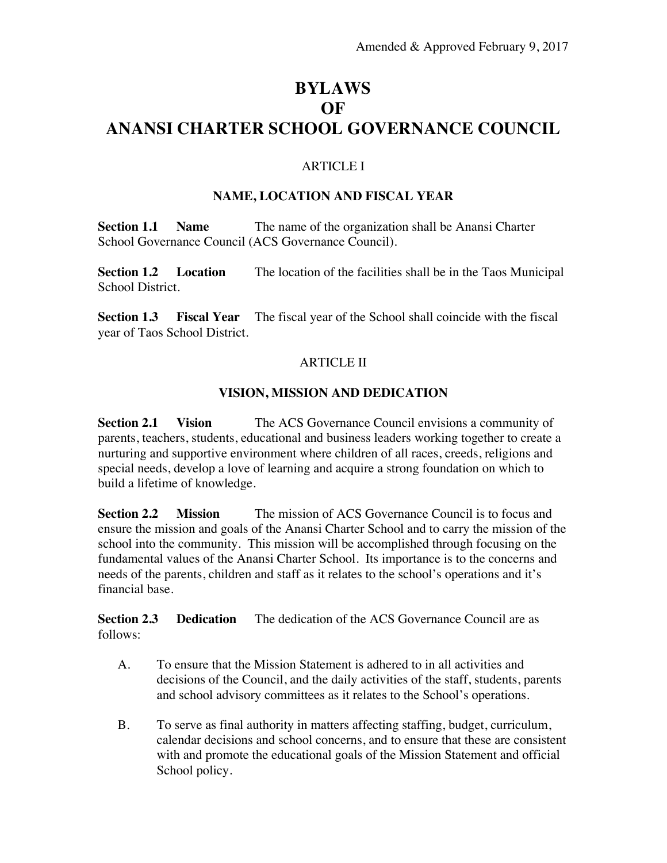# **BYLAWS OF ANANSI CHARTER SCHOOL GOVERNANCE COUNCIL**

### ARTICLE I

#### **NAME, LOCATION AND FISCAL YEAR**

**Section 1.1 Name** The name of the organization shall be Anansi Charter School Governance Council (ACS Governance Council).

**Section 1.2 Location** The location of the facilities shall be in the Taos Municipal School District.

**Section 1.3 Fiscal Year** The fiscal year of the School shall coincide with the fiscal year of Taos School District.

#### ARTICLE II

#### **VISION, MISSION AND DEDICATION**

**Section 2.1 Vision** The ACS Governance Council envisions a community of parents, teachers, students, educational and business leaders working together to create a nurturing and supportive environment where children of all races, creeds, religions and special needs, develop a love of learning and acquire a strong foundation on which to build a lifetime of knowledge.

**Section 2.2 Mission** The mission of ACS Governance Council is to focus and ensure the mission and goals of the Anansi Charter School and to carry the mission of the school into the community. This mission will be accomplished through focusing on the fundamental values of the Anansi Charter School. Its importance is to the concerns and needs of the parents, children and staff as it relates to the school's operations and it's financial base.

**Section 2.3 Dedication** The dedication of the ACS Governance Council are as follows:

- A. To ensure that the Mission Statement is adhered to in all activities and decisions of the Council, and the daily activities of the staff, students, parents and school advisory committees as it relates to the School's operations.
- B. To serve as final authority in matters affecting staffing, budget, curriculum, calendar decisions and school concerns, and to ensure that these are consistent with and promote the educational goals of the Mission Statement and official School policy.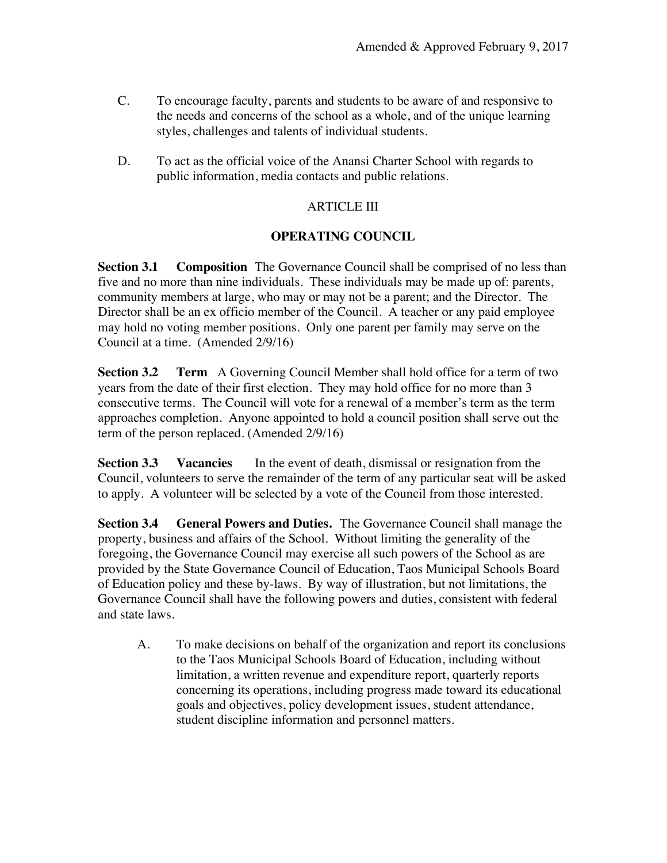- C. To encourage faculty, parents and students to be aware of and responsive to the needs and concerns of the school as a whole, and of the unique learning styles, challenges and talents of individual students.
- D. To act as the official voice of the Anansi Charter School with regards to public information, media contacts and public relations.

### ARTICLE III

#### **OPERATING COUNCIL**

**Section 3.1 Composition** The Governance Council shall be comprised of no less than five and no more than nine individuals. These individuals may be made up of: parents, community members at large, who may or may not be a parent; and the Director. The Director shall be an ex officio member of the Council. A teacher or any paid employee may hold no voting member positions. Only one parent per family may serve on the Council at a time. (Amended 2/9/16)

**Section 3.2 Term** A Governing Council Member shall hold office for a term of two years from the date of their first election. They may hold office for no more than 3 consecutive terms. The Council will vote for a renewal of a member's term as the term approaches completion. Anyone appointed to hold a council position shall serve out the term of the person replaced. (Amended 2/9/16)

**Section 3.3 Vacancies** In the event of death, dismissal or resignation from the Council, volunteers to serve the remainder of the term of any particular seat will be asked to apply. A volunteer will be selected by a vote of the Council from those interested.

**Section 3.4 General Powers and Duties.** The Governance Council shall manage the property, business and affairs of the School. Without limiting the generality of the foregoing, the Governance Council may exercise all such powers of the School as are provided by the State Governance Council of Education, Taos Municipal Schools Board of Education policy and these by-laws. By way of illustration, but not limitations, the Governance Council shall have the following powers and duties, consistent with federal and state laws.

A. To make decisions on behalf of the organization and report its conclusions to the Taos Municipal Schools Board of Education, including without limitation, a written revenue and expenditure report, quarterly reports concerning its operations, including progress made toward its educational goals and objectives, policy development issues, student attendance, student discipline information and personnel matters.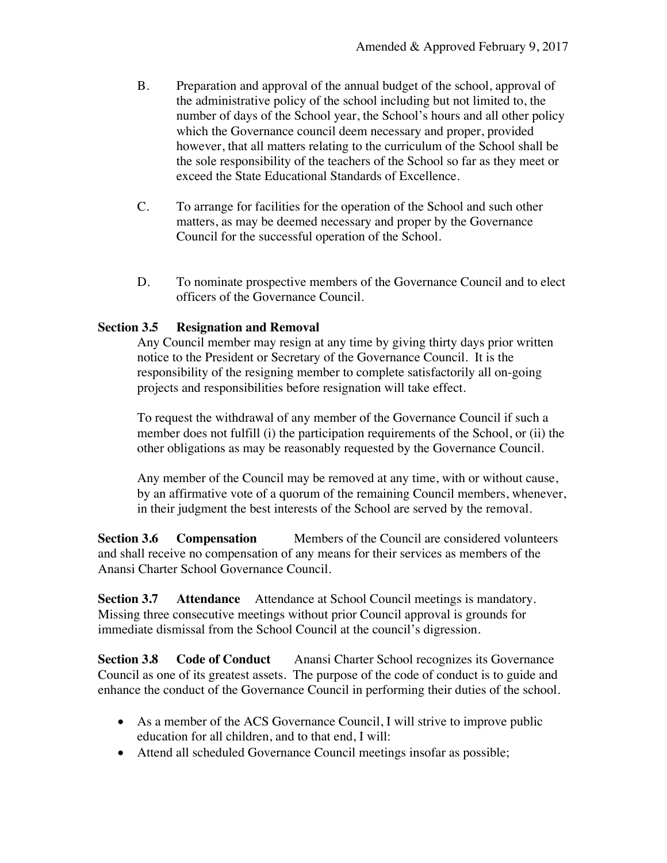- B. Preparation and approval of the annual budget of the school, approval of the administrative policy of the school including but not limited to, the number of days of the School year, the School's hours and all other policy which the Governance council deem necessary and proper, provided however, that all matters relating to the curriculum of the School shall be the sole responsibility of the teachers of the School so far as they meet or exceed the State Educational Standards of Excellence.
- C. To arrange for facilities for the operation of the School and such other matters, as may be deemed necessary and proper by the Governance Council for the successful operation of the School.
- D. To nominate prospective members of the Governance Council and to elect officers of the Governance Council.

#### **Section 3.5 Resignation and Removal**

Any Council member may resign at any time by giving thirty days prior written notice to the President or Secretary of the Governance Council. It is the responsibility of the resigning member to complete satisfactorily all on-going projects and responsibilities before resignation will take effect.

To request the withdrawal of any member of the Governance Council if such a member does not fulfill (i) the participation requirements of the School, or (ii) the other obligations as may be reasonably requested by the Governance Council.

Any member of the Council may be removed at any time, with or without cause, by an affirmative vote of a quorum of the remaining Council members, whenever, in their judgment the best interests of the School are served by the removal.

**Section 3.6 • Compensation** Members of the Council are considered volunteers and shall receive no compensation of any means for their services as members of the Anansi Charter School Governance Council.

**Section 3.7 Attendance** Attendance at School Council meetings is mandatory. Missing three consecutive meetings without prior Council approval is grounds for immediate dismissal from the School Council at the council's digression.

**Section 3.8 Code of Conduct** Anansi Charter School recognizes its Governance Council as one of its greatest assets. The purpose of the code of conduct is to guide and enhance the conduct of the Governance Council in performing their duties of the school.

- As a member of the ACS Governance Council, I will strive to improve public education for all children, and to that end, I will:
- Attend all scheduled Governance Council meetings insofar as possible;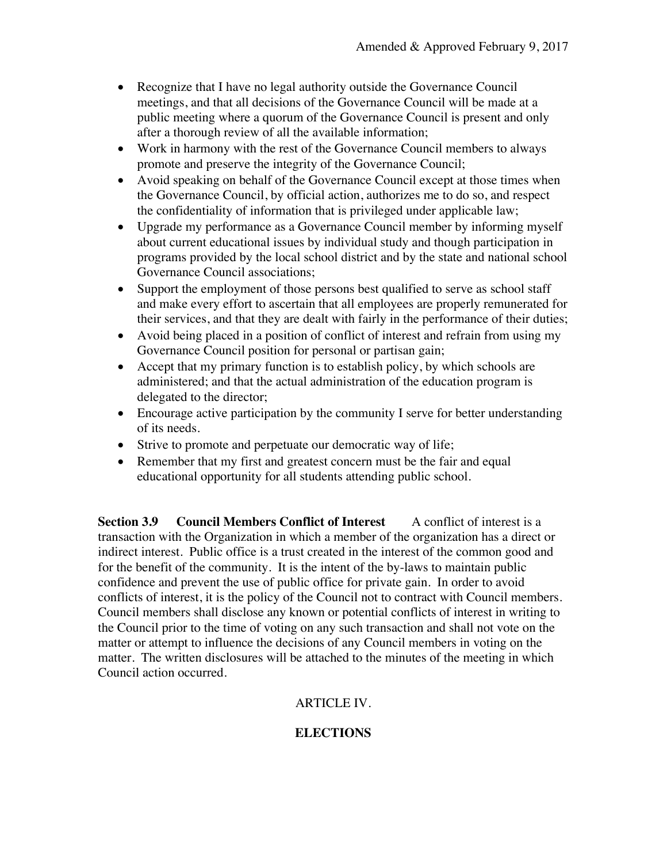- Recognize that I have no legal authority outside the Governance Council meetings, and that all decisions of the Governance Council will be made at a public meeting where a quorum of the Governance Council is present and only after a thorough review of all the available information;
- Work in harmony with the rest of the Governance Council members to always promote and preserve the integrity of the Governance Council;
- Avoid speaking on behalf of the Governance Council except at those times when the Governance Council, by official action, authorizes me to do so, and respect the confidentiality of information that is privileged under applicable law;
- Upgrade my performance as a Governance Council member by informing myself about current educational issues by individual study and though participation in programs provided by the local school district and by the state and national school Governance Council associations;
- Support the employment of those persons best qualified to serve as school staff and make every effort to ascertain that all employees are properly remunerated for their services, and that they are dealt with fairly in the performance of their duties;
- Avoid being placed in a position of conflict of interest and refrain from using my Governance Council position for personal or partisan gain;
- Accept that my primary function is to establish policy, by which schools are administered; and that the actual administration of the education program is delegated to the director;
- Encourage active participation by the community I serve for better understanding of its needs.
- Strive to promote and perpetuate our democratic way of life;
- Remember that my first and greatest concern must be the fair and equal educational opportunity for all students attending public school.

**Section 3.9 Council Members Conflict of Interest** A conflict of interest is a transaction with the Organization in which a member of the organization has a direct or indirect interest. Public office is a trust created in the interest of the common good and for the benefit of the community. It is the intent of the by-laws to maintain public confidence and prevent the use of public office for private gain. In order to avoid conflicts of interest, it is the policy of the Council not to contract with Council members. Council members shall disclose any known or potential conflicts of interest in writing to the Council prior to the time of voting on any such transaction and shall not vote on the matter or attempt to influence the decisions of any Council members in voting on the matter. The written disclosures will be attached to the minutes of the meeting in which Council action occurred.

## ARTICLE IV.

## **ELECTIONS**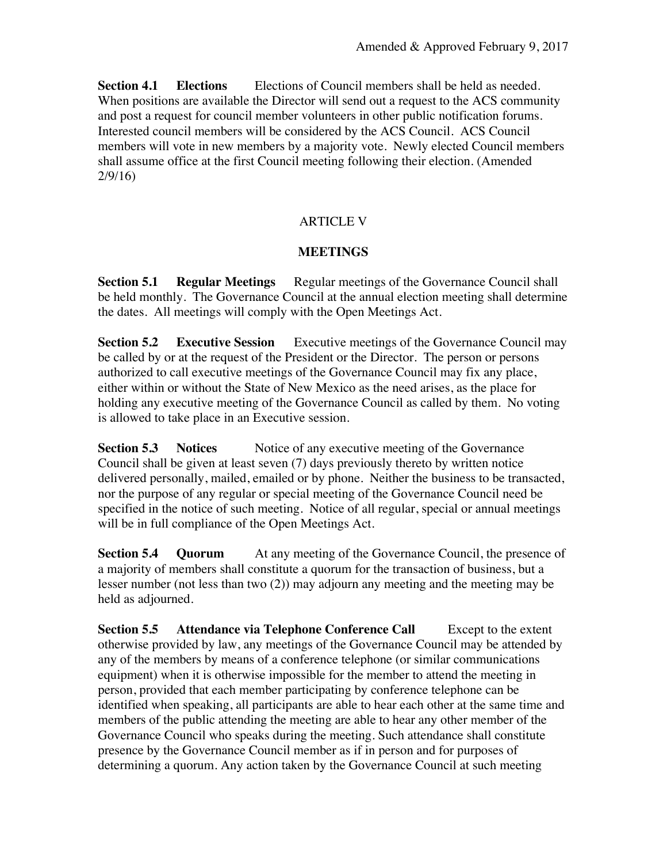**Section 4.1 • Elections** Elections of Council members shall be held as needed. When positions are available the Director will send out a request to the ACS community and post a request for council member volunteers in other public notification forums. Interested council members will be considered by the ACS Council. ACS Council members will vote in new members by a majority vote. Newly elected Council members shall assume office at the first Council meeting following their election. (Amended 2/9/16)

## ARTICLE V

### **MEETINGS**

**Section 5.1 • Regular Meetings** • Regular meetings of the Governance Council shall be held monthly. The Governance Council at the annual election meeting shall determine the dates. All meetings will comply with the Open Meetings Act.

**Section 5.2 Executive Session** Executive meetings of the Governance Council may be called by or at the request of the President or the Director. The person or persons authorized to call executive meetings of the Governance Council may fix any place, either within or without the State of New Mexico as the need arises, as the place for holding any executive meeting of the Governance Council as called by them. No voting is allowed to take place in an Executive session.

**Section 5.3 Notices** Notice of any executive meeting of the Governance Council shall be given at least seven (7) days previously thereto by written notice delivered personally, mailed, emailed or by phone. Neither the business to be transacted, nor the purpose of any regular or special meeting of the Governance Council need be specified in the notice of such meeting. Notice of all regular, special or annual meetings will be in full compliance of the Open Meetings Act.

**Section 5.4 • Quorum** At any meeting of the Governance Council, the presence of a majority of members shall constitute a quorum for the transaction of business, but a lesser number (not less than two (2)) may adjourn any meeting and the meeting may be held as adjourned.

**Section 5.5 Attendance via Telephone Conference Call** Except to the extent otherwise provided by law, any meetings of the Governance Council may be attended by any of the members by means of a conference telephone (or similar communications equipment) when it is otherwise impossible for the member to attend the meeting in person, provided that each member participating by conference telephone can be identified when speaking, all participants are able to hear each other at the same time and members of the public attending the meeting are able to hear any other member of the Governance Council who speaks during the meeting. Such attendance shall constitute presence by the Governance Council member as if in person and for purposes of determining a quorum. Any action taken by the Governance Council at such meeting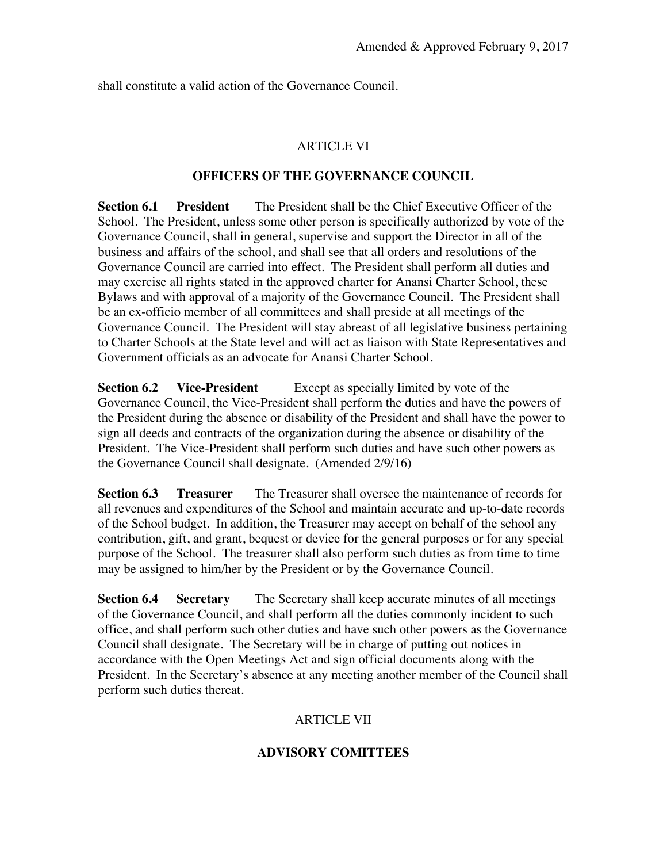shall constitute a valid action of the Governance Council.

### ARTICLE VI

#### **OFFICERS OF THE GOVERNANCE COUNCIL**

**Section 6.1 President** The President shall be the Chief Executive Officer of the School. The President, unless some other person is specifically authorized by vote of the Governance Council, shall in general, supervise and support the Director in all of the business and affairs of the school, and shall see that all orders and resolutions of the Governance Council are carried into effect. The President shall perform all duties and may exercise all rights stated in the approved charter for Anansi Charter School, these Bylaws and with approval of a majority of the Governance Council. The President shall be an ex-officio member of all committees and shall preside at all meetings of the Governance Council. The President will stay abreast of all legislative business pertaining to Charter Schools at the State level and will act as liaison with State Representatives and Government officials as an advocate for Anansi Charter School.

**Section 6.2 Vice-President** Except as specially limited by vote of the Governance Council, the Vice-President shall perform the duties and have the powers of the President during the absence or disability of the President and shall have the power to sign all deeds and contracts of the organization during the absence or disability of the President. The Vice-President shall perform such duties and have such other powers as the Governance Council shall designate. (Amended 2/9/16)

**Section 6.3 Treasurer** The Treasurer shall oversee the maintenance of records for all revenues and expenditures of the School and maintain accurate and up-to-date records of the School budget. In addition, the Treasurer may accept on behalf of the school any contribution, gift, and grant, bequest or device for the general purposes or for any special purpose of the School. The treasurer shall also perform such duties as from time to time may be assigned to him/her by the President or by the Governance Council.

**Section 6.4 Secretary** The Secretary shall keep accurate minutes of all meetings of the Governance Council, and shall perform all the duties commonly incident to such office, and shall perform such other duties and have such other powers as the Governance Council shall designate. The Secretary will be in charge of putting out notices in accordance with the Open Meetings Act and sign official documents along with the President. In the Secretary's absence at any meeting another member of the Council shall perform such duties thereat.

## ARTICLE VII

## **ADVISORY COMITTEES**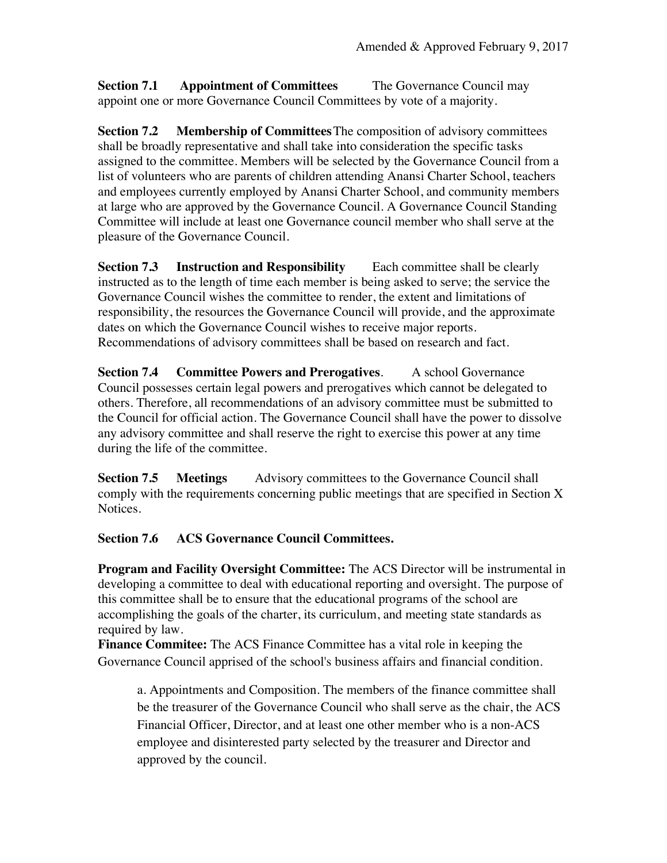**Section 7.1 Appointment of Committees** The Governance Council may appoint one or more Governance Council Committees by vote of a majority.

**Section 7.2 Membership of Committees**The composition of advisory committees shall be broadly representative and shall take into consideration the specific tasks assigned to the committee. Members will be selected by the Governance Council from a list of volunteers who are parents of children attending Anansi Charter School, teachers and employees currently employed by Anansi Charter School, and community members at large who are approved by the Governance Council. A Governance Council Standing Committee will include at least one Governance council member who shall serve at the pleasure of the Governance Council.

**Section 7.3 Instruction and Responsibility** Each committee shall be clearly instructed as to the length of time each member is being asked to serve; the service the Governance Council wishes the committee to render, the extent and limitations of responsibility, the resources the Governance Council will provide, and the approximate dates on which the Governance Council wishes to receive major reports. Recommendations of advisory committees shall be based on research and fact.

**Section 7.4 Committee Powers and Prerogatives**. A school Governance Council possesses certain legal powers and prerogatives which cannot be delegated to others. Therefore, all recommendations of an advisory committee must be submitted to the Council for official action. The Governance Council shall have the power to dissolve any advisory committee and shall reserve the right to exercise this power at any time during the life of the committee.

**Section 7.5 • Meetings** • Advisory committees to the Governance Council shall comply with the requirements concerning public meetings that are specified in Section X Notices.

**Section 7.6 ACS Governance Council Committees.**

**Program and Facility Oversight Committee:** The ACS Director will be instrumental in developing a committee to deal with educational reporting and oversight. The purpose of this committee shall be to ensure that the educational programs of the school are accomplishing the goals of the charter, its curriculum, and meeting state standards as required by law.

**Finance Commitee:** The ACS Finance Committee has a vital role in keeping the Governance Council apprised of the school's business affairs and financial condition.

a. Appointments and Composition. The members of the finance committee shall be the treasurer of the Governance Council who shall serve as the chair, the ACS Financial Officer, Director, and at least one other member who is a non-ACS employee and disinterested party selected by the treasurer and Director and approved by the council.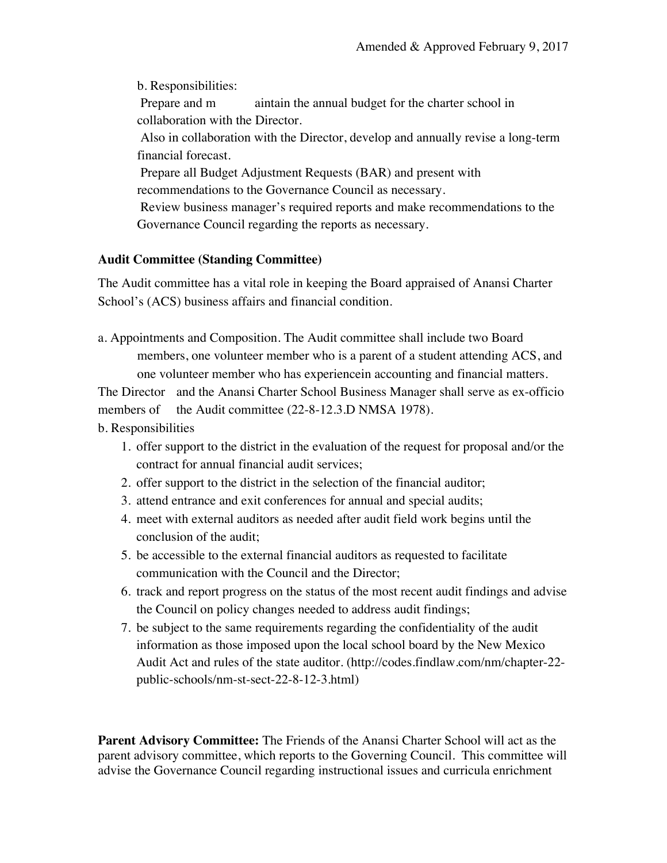b. Responsibilities: Prepare and m aintain the annual budget for the charter school in collaboration with the Director. Also in collaboration with the Director, develop and annually revise a long-term financial forecast. Prepare all Budget Adjustment Requests (BAR) and present with recommendations to the Governance Council as necessary. Review business manager's required reports and make recommendations to the Governance Council regarding the reports as necessary.

#### **Audit Committee (Standing Committee)**

The Audit committee has a vital role in keeping the Board appraised of Anansi Charter School's (ACS) business affairs and financial condition.

a. Appointments and Composition. The Audit committee shall include two Board members, one volunteer member who is a parent of a student attending ACS, and one volunteer member who has experiencein accounting and financial matters.

The Director and the Anansi Charter School Business Manager shall serve as ex-officio members of the Audit committee (22-8-12.3.D NMSA 1978).

b. Responsibilities

- 1. offer support to the district in the evaluation of the request for proposal and/or the contract for annual financial audit services;
- 2. offer support to the district in the selection of the financial auditor;
- 3. attend entrance and exit conferences for annual and special audits;
- 4. meet with external auditors as needed after audit field work begins until the conclusion of the audit;
- 5. be accessible to the external financial auditors as requested to facilitate communication with the Council and the Director;
- 6. track and report progress on the status of the most recent audit findings and advise the Council on policy changes needed to address audit findings;
- 7. be subject to the same requirements regarding the confidentiality of the audit information as those imposed upon the local school board by the New Mexico Audit Act and rules of the state auditor. (http://codes.findlaw.com/nm/chapter-22 public-schools/nm-st-sect-22-8-12-3.html)

**Parent Advisory Committee:** The Friends of the Anansi Charter School will act as the parent advisory committee, which reports to the Governing Council. This committee will advise the Governance Council regarding instructional issues and curricula enrichment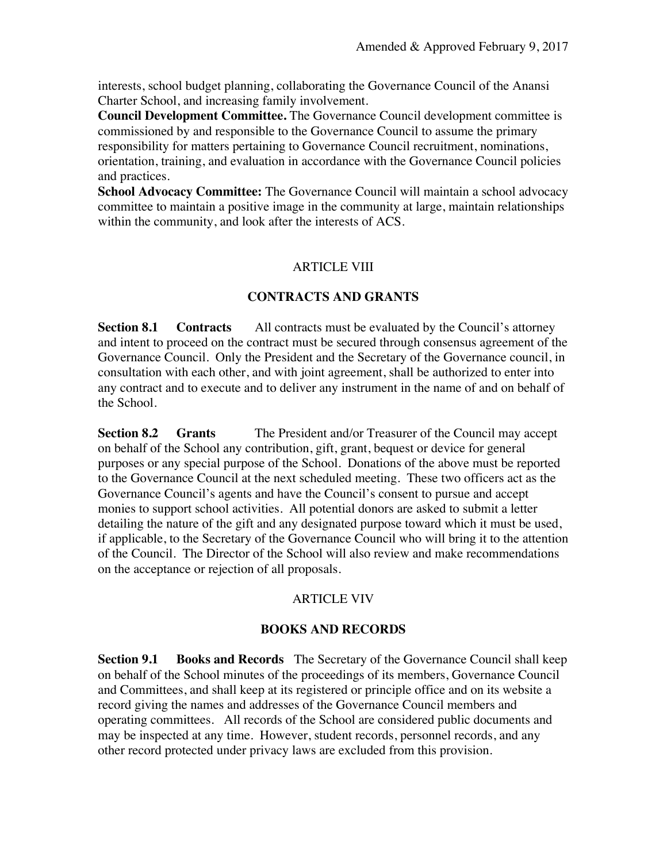interests, school budget planning, collaborating the Governance Council of the Anansi Charter School, and increasing family involvement.

**Council Development Committee.** The Governance Council development committee is commissioned by and responsible to the Governance Council to assume the primary responsibility for matters pertaining to Governance Council recruitment, nominations, orientation, training, and evaluation in accordance with the Governance Council policies and practices.

**School Advocacy Committee:** The Governance Council will maintain a school advocacy committee to maintain a positive image in the community at large, maintain relationships within the community, and look after the interests of ACS.

### ARTICLE VIII

#### **CONTRACTS AND GRANTS**

**Section 8.1 Contracts** All contracts must be evaluated by the Council's attorney and intent to proceed on the contract must be secured through consensus agreement of the Governance Council. Only the President and the Secretary of the Governance council, in consultation with each other, and with joint agreement, shall be authorized to enter into any contract and to execute and to deliver any instrument in the name of and on behalf of the School.

**Section 8.2 Grants** The President and/or Treasurer of the Council may accept on behalf of the School any contribution, gift, grant, bequest or device for general purposes or any special purpose of the School. Donations of the above must be reported to the Governance Council at the next scheduled meeting. These two officers act as the Governance Council's agents and have the Council's consent to pursue and accept monies to support school activities. All potential donors are asked to submit a letter detailing the nature of the gift and any designated purpose toward which it must be used, if applicable, to the Secretary of the Governance Council who will bring it to the attention of the Council. The Director of the School will also review and make recommendations on the acceptance or rejection of all proposals.

#### ARTICLE VIV

## **BOOKS AND RECORDS**

**Section 9.1 Books and Records** The Secretary of the Governance Council shall keep on behalf of the School minutes of the proceedings of its members, Governance Council and Committees, and shall keep at its registered or principle office and on its website a record giving the names and addresses of the Governance Council members and operating committees. All records of the School are considered public documents and may be inspected at any time. However, student records, personnel records, and any other record protected under privacy laws are excluded from this provision.